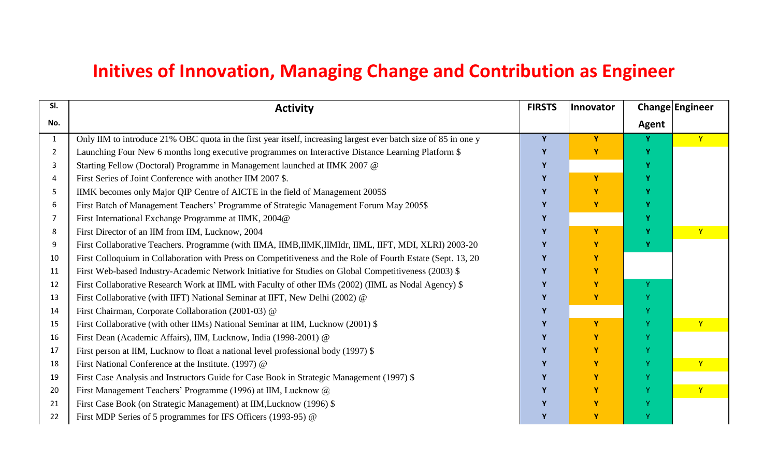## **Initives of Innovation, Managing Change and Contribution as Engineer**

| SI.            | <b>Activity</b>                                                                                                 | <b>FIRSTS</b> | <b>Innovator</b> | Change Engineer |              |
|----------------|-----------------------------------------------------------------------------------------------------------------|---------------|------------------|-----------------|--------------|
| No.            |                                                                                                                 |               |                  | Agent           |              |
| $\mathbf{1}$   | Only IIM to introduce 21% OBC quota in the first year itself, increasing largest ever batch size of 85 in one y | Y             | Y                |                 | Y            |
| $\overline{2}$ | Launching Four New 6 months long executive programmes on Interactive Distance Learning Platform \$              |               | Y                |                 |              |
| 3              | Starting Fellow (Doctoral) Programme in Management launched at IIMK 2007 @                                      |               |                  |                 |              |
| 4              | First Series of Joint Conference with another IIM 2007 \$.                                                      |               | Y                |                 |              |
| 5              | IIMK becomes only Major QIP Centre of AICTE in the field of Management 2005\$                                   |               | Y                |                 |              |
| 6              | First Batch of Management Teachers' Programme of Strategic Management Forum May 2005\$                          |               | Y                |                 |              |
| 7              | First International Exchange Programme at IIMK, 2004@                                                           |               |                  |                 |              |
| 8              | First Director of an IIM from IIM, Lucknow, 2004                                                                |               | Y                |                 | Ÿ            |
| 9              | First Collaborative Teachers. Programme (with IIMA, IIMB, IIMK, IIMIdr, IIML, IIFT, MDI, XLRI) 2003-20          |               |                  |                 |              |
| 10             | First Colloquium in Collaboration with Press on Competitiveness and the Role of Fourth Estate (Sept. 13, 20     |               | Y                |                 |              |
| 11             | First Web-based Industry-Academic Network Initiative for Studies on Global Competitiveness (2003) \$            |               | Y                |                 |              |
| 12             | First Collaborative Research Work at IIML with Faculty of other IIMs (2002) (IIML as Nodal Agency) \$           |               | Y                | $\mathbf{v}$    |              |
| 13             | First Collaborative (with IIFT) National Seminar at IIFT, New Delhi (2002) @                                    |               | Y                |                 |              |
| 14             | First Chairman, Corporate Collaboration (2001-03) @                                                             |               |                  |                 |              |
| 15             | First Collaborative (with other IIMs) National Seminar at IIM, Lucknow (2001) \$                                |               | Y                |                 |              |
| 16             | First Dean (Academic Affairs), IIM, Lucknow, India (1998-2001) @                                                |               |                  |                 |              |
| 17             | First person at IIM, Lucknow to float a national level professional body (1997) \$                              |               | Y                |                 |              |
| 18             | First National Conference at the Institute. (1997) @                                                            |               | Y                |                 | $\mathbf{Y}$ |
| 19             | First Case Analysis and Instructors Guide for Case Book in Strategic Management (1997) \$                       |               | Y                |                 |              |
| 20             | First Management Teachers' Programme (1996) at IIM, Lucknow @                                                   |               | Y                |                 | $\mathbf{Y}$ |
| 21             | First Case Book (on Strategic Management) at IIM, Lucknow (1996) \$                                             |               |                  |                 |              |
| 22             | First MDP Series of 5 programmes for IFS Officers (1993-95) @                                                   |               | Υ                |                 |              |